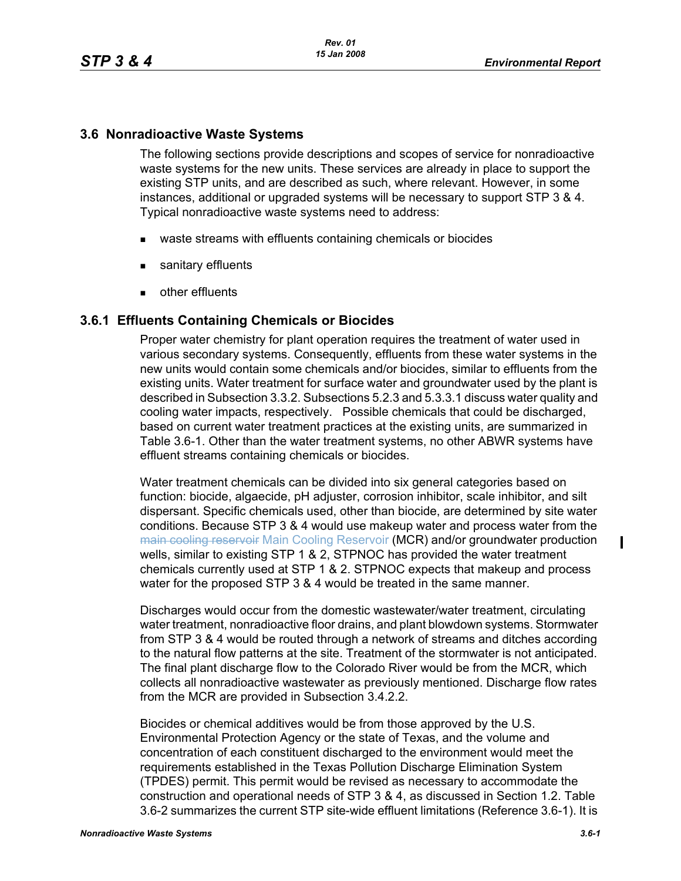## **3.6 Nonradioactive Waste Systems**

The following sections provide descriptions and scopes of service for nonradioactive waste systems for the new units. These services are already in place to support the existing STP units, and are described as such, where relevant. However, in some instances, additional or upgraded systems will be necessary to support STP 3 & 4. Typical nonradioactive waste systems need to address:

- waste streams with effluents containing chemicals or biocides
- sanitary effluents
- **other effluents**

## **3.6.1 Effluents Containing Chemicals or Biocides**

Proper water chemistry for plant operation requires the treatment of water used in various secondary systems. Consequently, effluents from these water systems in the new units would contain some chemicals and/or biocides, similar to effluents from the existing units. Water treatment for surface water and groundwater used by the plant is described in Subsection 3.3.2. Subsections 5.2.3 and 5.3.3.1 discuss water quality and cooling water impacts, respectively. Possible chemicals that could be discharged, based on current water treatment practices at the existing units, are summarized in Table 3.6-1. Other than the water treatment systems, no other ABWR systems have effluent streams containing chemicals or biocides.

Water treatment chemicals can be divided into six general categories based on function: biocide, algaecide, pH adjuster, corrosion inhibitor, scale inhibitor, and silt dispersant. Specific chemicals used, other than biocide, are determined by site water conditions. Because STP 3 & 4 would use makeup water and process water from the main cooling reservoir Main Cooling Reservoir (MCR) and/or groundwater production wells, similar to existing STP 1 & 2, STPNOC has provided the water treatment chemicals currently used at STP 1 & 2. STPNOC expects that makeup and process water for the proposed STP 3 & 4 would be treated in the same manner.

Discharges would occur from the domestic wastewater/water treatment, circulating water treatment, nonradioactive floor drains, and plant blowdown systems. Stormwater from STP 3 & 4 would be routed through a network of streams and ditches according to the natural flow patterns at the site. Treatment of the stormwater is not anticipated. The final plant discharge flow to the Colorado River would be from the MCR, which collects all nonradioactive wastewater as previously mentioned. Discharge flow rates from the MCR are provided in Subsection 3.4.2.2.

Biocides or chemical additives would be from those approved by the U.S. Environmental Protection Agency or the state of Texas, and the volume and concentration of each constituent discharged to the environment would meet the requirements established in the Texas Pollution Discharge Elimination System (TPDES) permit. This permit would be revised as necessary to accommodate the construction and operational needs of STP 3 & 4, as discussed in Section 1.2. Table 3.6-2 summarizes the current STP site-wide effluent limitations (Reference 3.6-1). It is  $\blacksquare$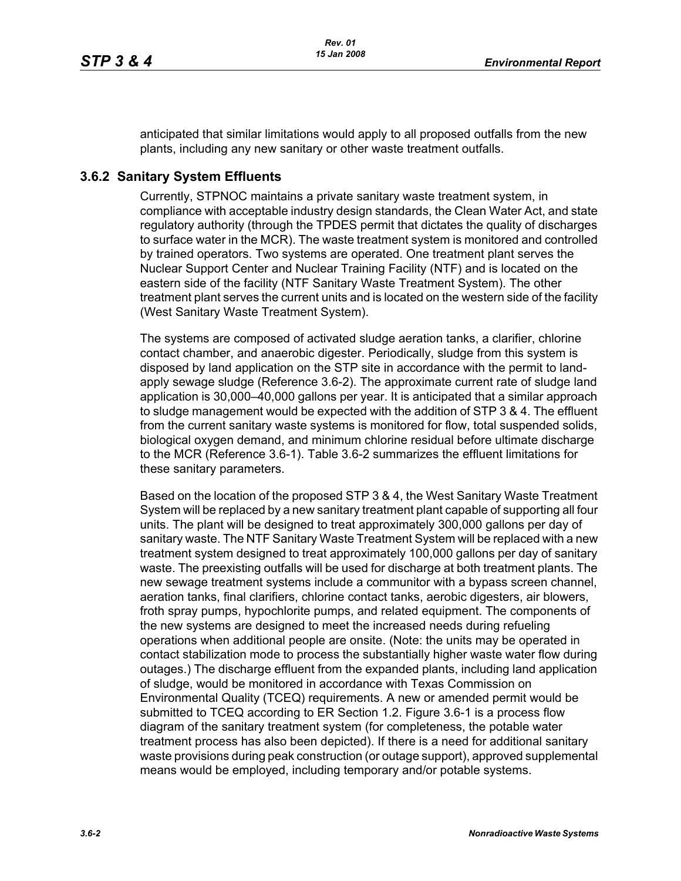anticipated that similar limitations would apply to all proposed outfalls from the new plants, including any new sanitary or other waste treatment outfalls.

## **3.6.2 Sanitary System Effluents**

Currently, STPNOC maintains a private sanitary waste treatment system, in compliance with acceptable industry design standards, the Clean Water Act, and state regulatory authority (through the TPDES permit that dictates the quality of discharges to surface water in the MCR). The waste treatment system is monitored and controlled by trained operators. Two systems are operated. One treatment plant serves the Nuclear Support Center and Nuclear Training Facility (NTF) and is located on the eastern side of the facility (NTF Sanitary Waste Treatment System). The other treatment plant serves the current units and is located on the western side of the facility (West Sanitary Waste Treatment System).

The systems are composed of activated sludge aeration tanks, a clarifier, chlorine contact chamber, and anaerobic digester. Periodically, sludge from this system is disposed by land application on the STP site in accordance with the permit to landapply sewage sludge (Reference 3.6-2). The approximate current rate of sludge land application is 30,000–40,000 gallons per year. It is anticipated that a similar approach to sludge management would be expected with the addition of STP 3 & 4. The effluent from the current sanitary waste systems is monitored for flow, total suspended solids, biological oxygen demand, and minimum chlorine residual before ultimate discharge to the MCR (Reference 3.6-1). Table 3.6-2 summarizes the effluent limitations for these sanitary parameters.

Based on the location of the proposed STP 3 & 4, the West Sanitary Waste Treatment System will be replaced by a new sanitary treatment plant capable of supporting all four units. The plant will be designed to treat approximately 300,000 gallons per day of sanitary waste. The NTF Sanitary Waste Treatment System will be replaced with a new treatment system designed to treat approximately 100,000 gallons per day of sanitary waste. The preexisting outfalls will be used for discharge at both treatment plants. The new sewage treatment systems include a communitor with a bypass screen channel, aeration tanks, final clarifiers, chlorine contact tanks, aerobic digesters, air blowers, froth spray pumps, hypochlorite pumps, and related equipment. The components of the new systems are designed to meet the increased needs during refueling operations when additional people are onsite. (Note: the units may be operated in contact stabilization mode to process the substantially higher waste water flow during outages.) The discharge effluent from the expanded plants, including land application of sludge, would be monitored in accordance with Texas Commission on Environmental Quality (TCEQ) requirements. A new or amended permit would be submitted to TCEQ according to ER Section 1.2. Figure 3.6-1 is a process flow diagram of the sanitary treatment system (for completeness, the potable water treatment process has also been depicted). If there is a need for additional sanitary waste provisions during peak construction (or outage support), approved supplemental means would be employed, including temporary and/or potable systems.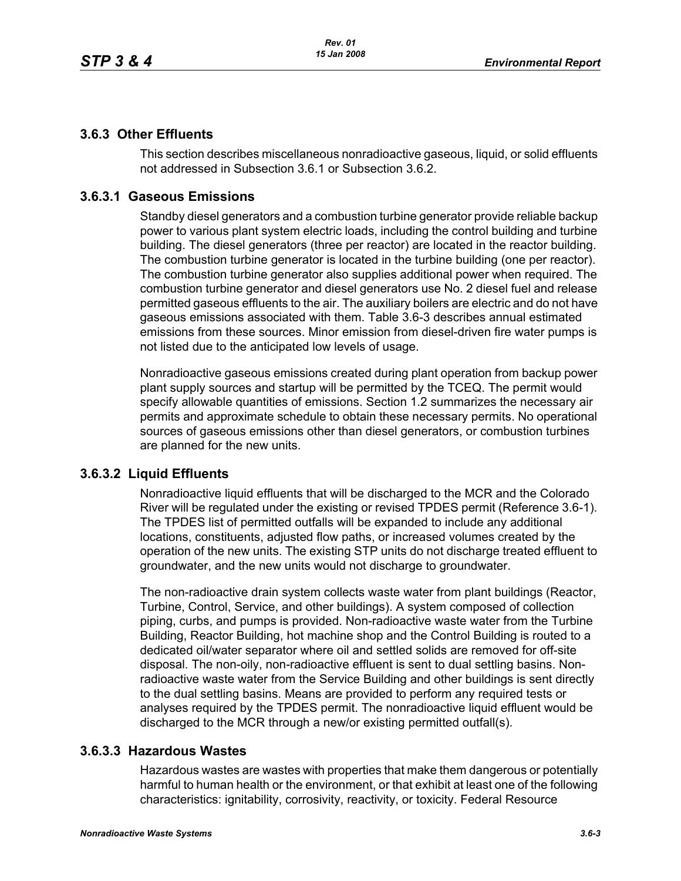## **3.6.3 Other Effluents**

This section describes miscellaneous nonradioactive gaseous, liquid, or solid effluents not addressed in Subsection 3.6.1 or Subsection 3.6.2.

## **3.6.3.1 Gaseous Emissions**

Standby diesel generators and a combustion turbine generator provide reliable backup power to various plant system electric loads, including the control building and turbine building. The diesel generators (three per reactor) are located in the reactor building. The combustion turbine generator is located in the turbine building (one per reactor). The combustion turbine generator also supplies additional power when required. The combustion turbine generator and diesel generators use No. 2 diesel fuel and release permitted gaseous effluents to the air. The auxiliary boilers are electric and do not have gaseous emissions associated with them. Table 3.6-3 describes annual estimated emissions from these sources. Minor emission from diesel-driven fire water pumps is not listed due to the anticipated low levels of usage.

Nonradioactive gaseous emissions created during plant operation from backup power plant supply sources and startup will be permitted by the TCEQ. The permit would specify allowable quantities of emissions. Section 1.2 summarizes the necessary air permits and approximate schedule to obtain these necessary permits. No operational sources of gaseous emissions other than diesel generators, or combustion turbines are planned for the new units.

### **3.6.3.2 Liquid Effluents**

Nonradioactive liquid effluents that will be discharged to the MCR and the Colorado River will be regulated under the existing or revised TPDES permit (Reference 3.6-1). The TPDES list of permitted outfalls will be expanded to include any additional locations, constituents, adjusted flow paths, or increased volumes created by the operation of the new units. The existing STP units do not discharge treated effluent to groundwater, and the new units would not discharge to groundwater.

The non-radioactive drain system collects waste water from plant buildings (Reactor, Turbine, Control, Service, and other buildings). A system composed of collection piping, curbs, and pumps is provided. Non-radioactive waste water from the Turbine Building, Reactor Building, hot machine shop and the Control Building is routed to a dedicated oil/water separator where oil and settled solids are removed for off-site disposal. The non-oily, non-radioactive effluent is sent to dual settling basins. Nonradioactive waste water from the Service Building and other buildings is sent directly to the dual settling basins. Means are provided to perform any required tests or analyses required by the TPDES permit. The nonradioactive liquid effluent would be discharged to the MCR through a new/or existing permitted outfall(s).

### **3.6.3.3 Hazardous Wastes**

Hazardous wastes are wastes with properties that make them dangerous or potentially harmful to human health or the environment, or that exhibit at least one of the following characteristics: ignitability, corrosivity, reactivity, or toxicity. Federal Resource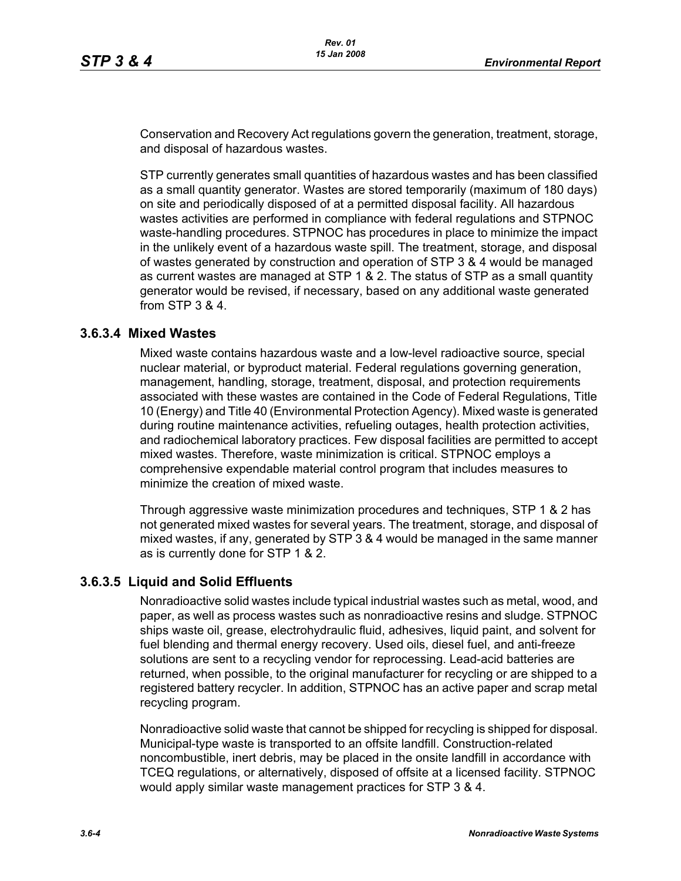Conservation and Recovery Act regulations govern the generation, treatment, storage, and disposal of hazardous wastes.

STP currently generates small quantities of hazardous wastes and has been classified as a small quantity generator. Wastes are stored temporarily (maximum of 180 days) on site and periodically disposed of at a permitted disposal facility. All hazardous wastes activities are performed in compliance with federal regulations and STPNOC waste-handling procedures. STPNOC has procedures in place to minimize the impact in the unlikely event of a hazardous waste spill. The treatment, storage, and disposal of wastes generated by construction and operation of STP 3 & 4 would be managed as current wastes are managed at STP 1 & 2. The status of STP as a small quantity generator would be revised, if necessary, based on any additional waste generated from STP 3 & 4.

### **3.6.3.4 Mixed Wastes**

Mixed waste contains hazardous waste and a low-level radioactive source, special nuclear material, or byproduct material. Federal regulations governing generation, management, handling, storage, treatment, disposal, and protection requirements associated with these wastes are contained in the Code of Federal Regulations, Title 10 (Energy) and Title 40 (Environmental Protection Agency). Mixed waste is generated during routine maintenance activities, refueling outages, health protection activities, and radiochemical laboratory practices. Few disposal facilities are permitted to accept mixed wastes. Therefore, waste minimization is critical. STPNOC employs a comprehensive expendable material control program that includes measures to minimize the creation of mixed waste.

Through aggressive waste minimization procedures and techniques, STP 1 & 2 has not generated mixed wastes for several years. The treatment, storage, and disposal of mixed wastes, if any, generated by STP 3 & 4 would be managed in the same manner as is currently done for STP 1 & 2.

### **3.6.3.5 Liquid and Solid Effluents**

Nonradioactive solid wastes include typical industrial wastes such as metal, wood, and paper, as well as process wastes such as nonradioactive resins and sludge. STPNOC ships waste oil, grease, electrohydraulic fluid, adhesives, liquid paint, and solvent for fuel blending and thermal energy recovery. Used oils, diesel fuel, and anti-freeze solutions are sent to a recycling vendor for reprocessing. Lead-acid batteries are returned, when possible, to the original manufacturer for recycling or are shipped to a registered battery recycler. In addition, STPNOC has an active paper and scrap metal recycling program.

Nonradioactive solid waste that cannot be shipped for recycling is shipped for disposal. Municipal-type waste is transported to an offsite landfill. Construction-related noncombustible, inert debris, may be placed in the onsite landfill in accordance with TCEQ regulations, or alternatively, disposed of offsite at a licensed facility. STPNOC would apply similar waste management practices for STP 3 & 4.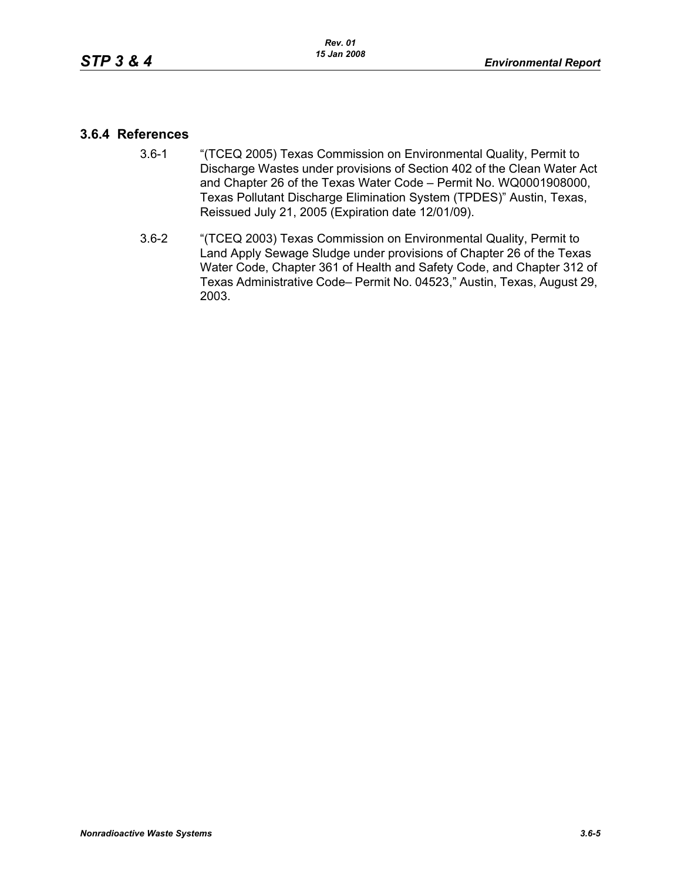## **3.6.4 References**

- 3.6-1 "(TCEQ 2005) Texas Commission on Environmental Quality, Permit to Discharge Wastes under provisions of Section 402 of the Clean Water Act and Chapter 26 of the Texas Water Code – Permit No. WQ0001908000, Texas Pollutant Discharge Elimination System (TPDES)" Austin, Texas, Reissued July 21, 2005 (Expiration date 12/01/09).
- 3.6-2 "(TCEQ 2003) Texas Commission on Environmental Quality, Permit to Land Apply Sewage Sludge under provisions of Chapter 26 of the Texas Water Code, Chapter 361 of Health and Safety Code, and Chapter 312 of Texas Administrative Code– Permit No. 04523," Austin, Texas, August 29, 2003.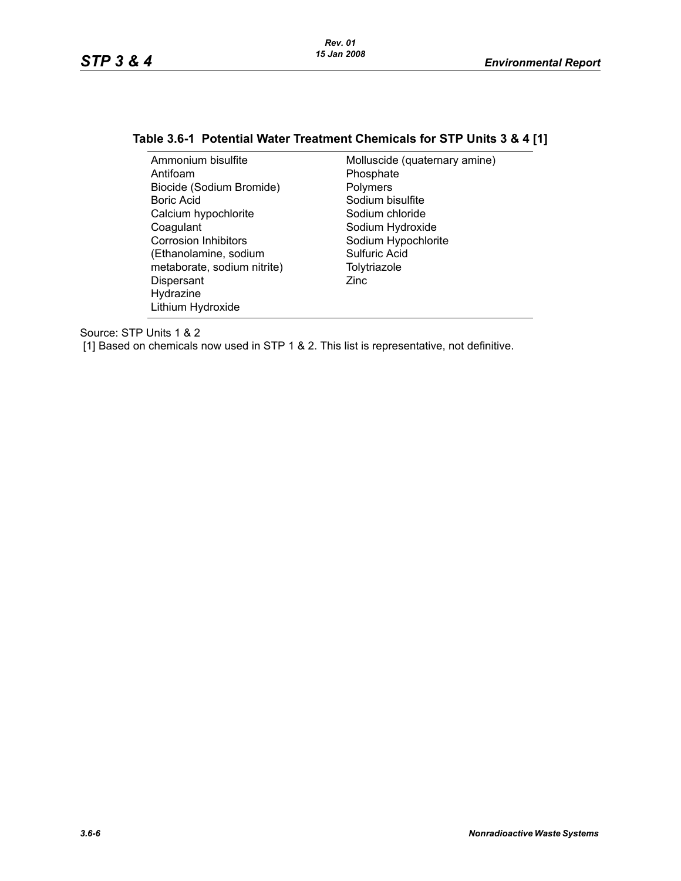# **Table 3.6-1 Potential Water Treatment Chemicals for STP Units 3 & 4 [1]**

| Ammonium bisulfite          | Molluscide (quaternary amine) |
|-----------------------------|-------------------------------|
| Antifoam                    | Phosphate                     |
| Biocide (Sodium Bromide)    | Polymers                      |
| Boric Acid                  | Sodium bisulfite              |
| Calcium hypochlorite        | Sodium chloride               |
| Coagulant                   | Sodium Hydroxide              |
| <b>Corrosion Inhibitors</b> | Sodium Hypochlorite           |
| (Ethanolamine, sodium       | Sulfuric Acid                 |
| metaborate, sodium nitrite) | Tolytriazole                  |
| Dispersant                  | Zinc                          |
| Hydrazine                   |                               |
| Lithium Hydroxide           |                               |

Source: STP Units 1 & 2

[1] Based on chemicals now used in STP 1 & 2. This list is representative, not definitive.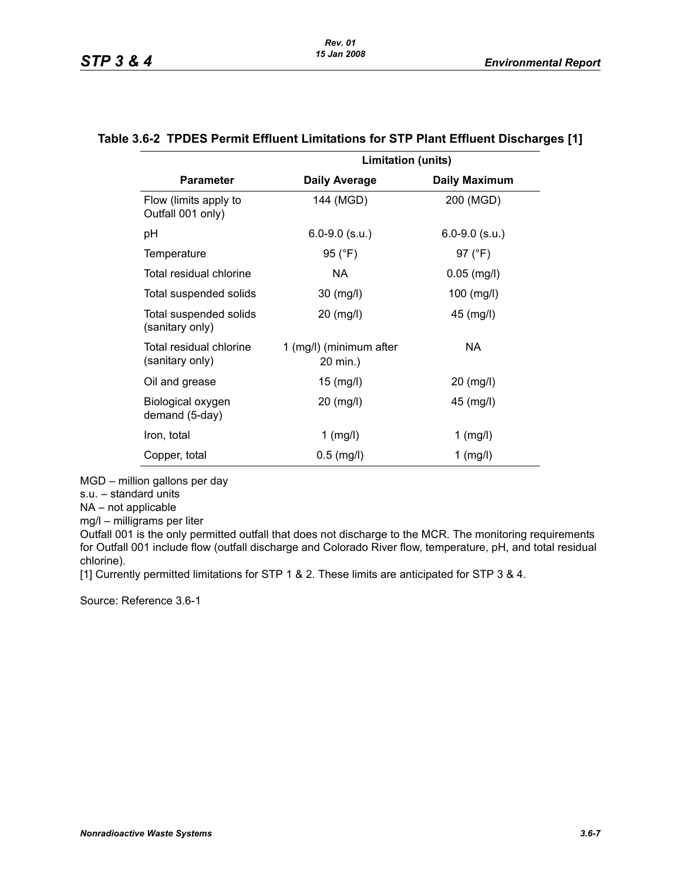|                                            | <b>Limitation (units)</b>           |                      |
|--------------------------------------------|-------------------------------------|----------------------|
| <b>Parameter</b>                           | <b>Daily Average</b>                | <b>Daily Maximum</b> |
| Flow (limits apply to<br>Outfall 001 only) | 144 (MGD)                           | 200 (MGD)            |
| рH                                         | $6.0 - 9.0$ (s.u.)                  | $6.0 - 9.0$ (s.u.)   |
| Temperature                                | 95 (°F)                             | 97 (°F)              |
| Total residual chlorine                    | NA.                                 | $0.05$ (mg/l)        |
| Total suspended solids                     | 30 (mg/l)                           | $100$ (mg/l)         |
| Total suspended solids<br>(sanitary only)  | 20 (mg/l)                           | 45 (mg/l)            |
| Total residual chlorine<br>(sanitary only) | 1 (mg/l) (minimum after<br>20 min.) | NA.                  |
| Oil and grease                             | $15 \ (mg/l)$                       | $20 \ (mg/l)$        |
| Biological oxygen<br>demand (5-day)        | 20 (mg/l)                           | 45 (mg/l)            |
| Iron, total                                | 1 (mg/l)                            | $1 \text{ (mg/l)}$   |
| Copper, total                              | $0.5$ (mg/l)                        | 1 (mg/l)             |

#### **Table 3.6-2 TPDES Permit Effluent Limitations for STP Plant Effluent Discharges [1]**

MGD – million gallons per day

s.u. – standard units

NA – not applicable

mg/l – milligrams per liter

Outfall 001 is the only permitted outfall that does not discharge to the MCR. The monitoring requirements for Outfall 001 include flow (outfall discharge and Colorado River flow, temperature, pH, and total residual chlorine).

[1] Currently permitted limitations for STP 1 & 2. These limits are anticipated for STP 3 & 4.

Source: Reference 3.6-1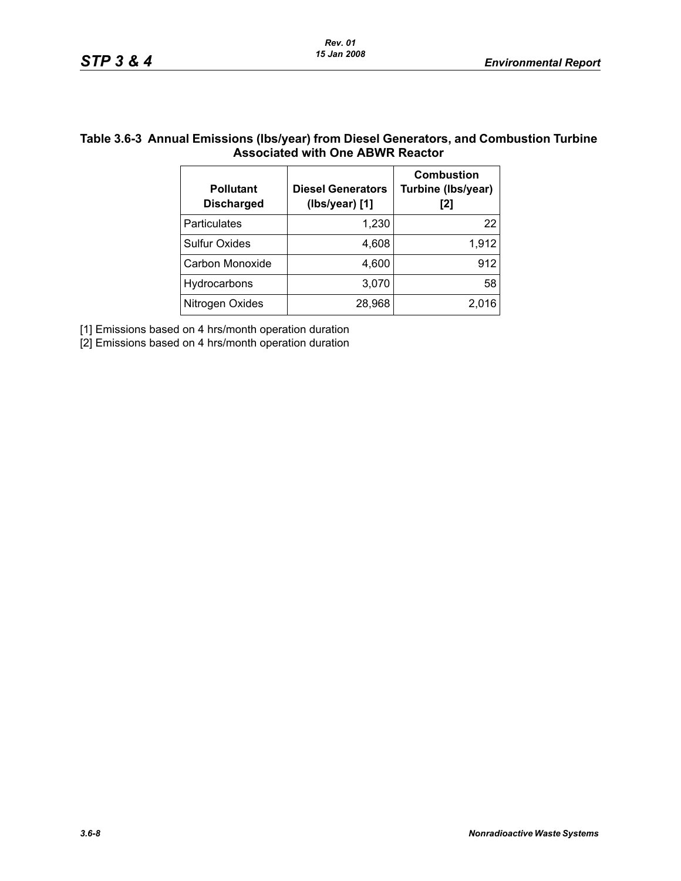## **Table 3.6-3 Annual Emissions (lbs/year) from Diesel Generators, and Combustion Turbine Associated with One ABWR Reactor**

| <b>Pollutant</b><br><b>Discharged</b> | <b>Diesel Generators</b><br>(Ibs/year) [1] | <b>Combustion</b><br>Turbine (Ibs/year)<br>[2] |
|---------------------------------------|--------------------------------------------|------------------------------------------------|
| Particulates                          | 1,230                                      | 22                                             |
| <b>Sulfur Oxides</b>                  | 4,608                                      | 1,912                                          |
| Carbon Monoxide                       | 4,600                                      | 912                                            |
| Hydrocarbons                          | 3,070                                      | 58                                             |
| Nitrogen Oxides                       | 28,968                                     | 2,016                                          |

[1] Emissions based on 4 hrs/month operation duration

[2] Emissions based on 4 hrs/month operation duration